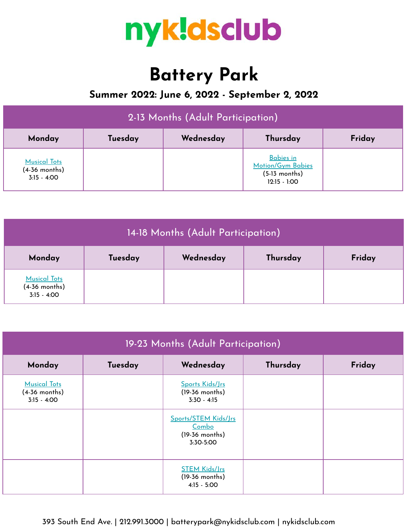

# **Battery Park**

## **Summer 2022: June 6, 2022 - September 2, 2022**

| 2-13 Months (Adult Participation)                       |         |           |                                                                            |        |  |
|---------------------------------------------------------|---------|-----------|----------------------------------------------------------------------------|--------|--|
| Monday                                                  | Tuesday | Wednesday | Thursday                                                                   | Friday |  |
| <b>Musical Tots</b><br>$(4-36$ months)<br>$3:15 - 4:00$ |         |           | <b>Babies in</b><br>Motion/Gym Babies<br>$(5-13$ months)<br>$12:15 - 1:00$ |        |  |

| 14-18 Months (Adult Participation)                      |         |           |          |        |  |
|---------------------------------------------------------|---------|-----------|----------|--------|--|
| Monday                                                  | Tuesday | Wednesday | Thursday | Friday |  |
| <b>Musical Tots</b><br>$(4-36$ months)<br>$3:15 - 4:00$ |         |           |          |        |  |

| 19-23 Months (Adult Participation)                      |         |                                                                |          |        |  |
|---------------------------------------------------------|---------|----------------------------------------------------------------|----------|--------|--|
| Monday                                                  | Tuesday | Wednesday                                                      | Thursday | Friday |  |
| <b>Musical Tots</b><br>$(4-36$ months)<br>$3:15 - 4:00$ |         | Sports Kids/Jrs<br>$(19-36$ months)<br>$3:30 - 4:15$           |          |        |  |
|                                                         |         | Sports/STEM Kids/Jrs<br>Combo<br>$(19-36$ months)<br>3:30-5:00 |          |        |  |
|                                                         |         | <b>STEM Kids/Jrs</b><br>$(19-36$ months)<br>$4:15 - 5:00$      |          |        |  |

## 393 South End Ave. | 212.991.3000 | batterypark@nykidsclub.com | nykidsclub.com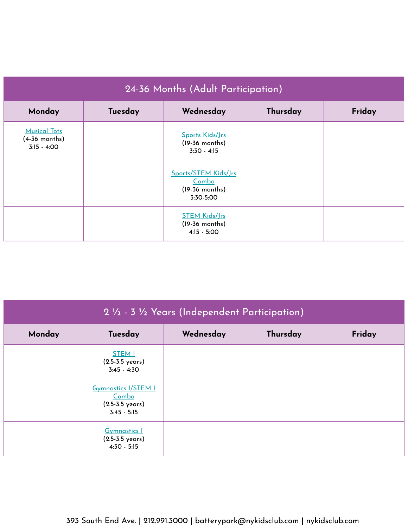| 24-36 Months (Adult Participation)                    |         |                                                                |          |        |  |
|-------------------------------------------------------|---------|----------------------------------------------------------------|----------|--------|--|
| Monday                                                | Tuesday | Wednesday                                                      | Thursday | Friday |  |
| <b>Musical Tots</b><br>(4-36 months)<br>$3:15 - 4:00$ |         | Sports Kids/Jrs<br>$(19-36$ months)<br>$3:30 - 4:15$           |          |        |  |
|                                                       |         | Sports/STEM Kids/Jrs<br>Combo<br>$(19-36$ months)<br>3:30-5:00 |          |        |  |
|                                                       |         | <b>STEM Kids/Jrs</b><br>$(19-36$ months)<br>$4:15 - 5:00$      |          |        |  |

| 2 1/2 - 3 1/2 Years (Independent Participation) |                                                                                            |           |          |        |  |
|-------------------------------------------------|--------------------------------------------------------------------------------------------|-----------|----------|--------|--|
| Monday                                          | Tuesday                                                                                    | Wednesday | Thursday | Friday |  |
|                                                 | <b>STEM I</b><br>$(2.5 - 3.5 \text{ years})$<br>$3:45 - 4:30$                              |           |          |        |  |
|                                                 | <b>Gymnastics I/STEM I</b><br><u>Combo</u><br>$(2.5 - 3.5 \text{ years})$<br>$3:45 - 5:15$ |           |          |        |  |
|                                                 | <b>Gymnastics I</b><br>$(2.5 - 3.5 \text{ years})$<br>$4:30 - 5:15$                        |           |          |        |  |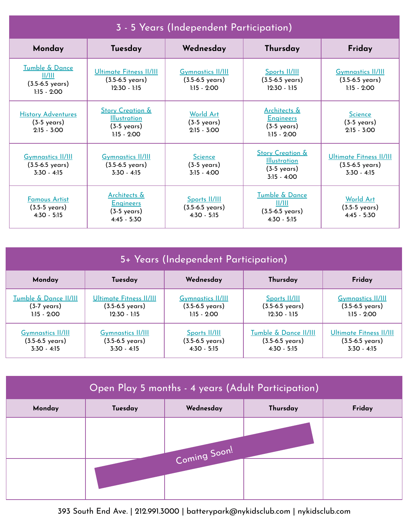| 3 - 5 Years (Independent Participation)                                  |                                                                                              |                                                                          |                                                                                              |                                                                          |  |
|--------------------------------------------------------------------------|----------------------------------------------------------------------------------------------|--------------------------------------------------------------------------|----------------------------------------------------------------------------------------------|--------------------------------------------------------------------------|--|
| Monday                                                                   | Tuesday                                                                                      | Wednesday                                                                | Thursday                                                                                     | Friday                                                                   |  |
| Tumble & Dance<br>  /   <br>$(3.5 - 6.5 \text{ years})$<br>$1:15 - 2:00$ | <b>Ultimate Fitness II/III</b><br>$(3.5 - 6.5 \text{ years})$<br>$12:30 - 1:15$              | <b>Gymnastics II/III</b><br>$(3.5 - 6.5 \text{ years})$<br>$1:15 - 2:00$ | Sports II/III<br>$(3.5 - 6.5 \text{ years})$<br>$12:30 - 1:15$                               | <b>Gymnastics II/III</b><br>$(3.5 - 6.5 \text{ years})$<br>$1:15 - 2:00$ |  |
| <b>History Adventures</b><br>$(3-5 \text{ years})$<br>$2:15 - 3:00$      | <b>Story Creation &amp;</b><br><b>Illustration</b><br>$(3-5 \text{ years})$<br>$1:15 - 2:00$ | <b>World Art</b><br>$(3-5 \text{ years})$<br>$2:15 - 3:00$               | Architects &<br><b>Engineers</b><br>$(3-5 \text{ years})$<br>$1:15 - 2:00$                   | <b>Science</b><br>$(3-5 \text{ years})$<br>$2:15 - 3:00$                 |  |
| <b>Gymnastics II/III</b><br>$(3.5 - 6.5 \text{ years})$<br>$3:30 - 4:15$ | <b>Gymnastics II/III</b><br>$(3.5 - 6.5 \text{ years})$<br>$3:30 - 4:15$                     | <b>Science</b><br>$(3-5 \text{ years})$<br>$3:15 - 4:00$                 | <b>Story Creation &amp;</b><br><b>Illustration</b><br>$(3-5 \text{ years})$<br>$3:15 - 4:00$ | Ultimate Fitness II/III<br>$(3.5 - 6.5 \text{ years})$<br>$3:30 - 4:15$  |  |
| <b>Famous Artist</b><br>$(3.5-5 \text{ years})$<br>$4:30 - 5:15$         | Architects &<br><b>Engineers</b><br>$(3-5 \text{ years})$<br>$4:45 - 5:30$                   | Sports II/III<br>$(3.5 - 6.5 \text{ years})$<br>$4:30 - 5:15$            | Tumble & Dance<br>  /   <br>$(3.5 - 6.5 \text{ years})$<br>$4:30 - 5:15$                     | World Art<br>$(3.5-5 \text{ years})$<br>$4:45 - 5:30$                    |  |

| 5+ Years (Independent Participation) |                             |                          |                             |                             |  |
|--------------------------------------|-----------------------------|--------------------------|-----------------------------|-----------------------------|--|
| Monday                               | Tuesday                     | Wednesday                | Thursday                    | Friday                      |  |
| Tumble & Dance II/III                | Ultimate Fitness II/III     | <b>Gymnastics II/III</b> | <b>Sports II/III</b>        | <b>Gymnastics II/III</b>    |  |
| (3-7 years)                          | $(3.5 - 6.5 \text{ years})$ | (3.5-6.5 years)          | $(3.5-6.5 \text{ years})$   | $(3.5 - 6.5 \text{ years})$ |  |
| $1:15 - 2:00$                        | $12:30 - 1:15$              | $1:15 - 2:00$            | $12:30 - 1:15$              | $1:15 - 2:00$               |  |
| <b>Gymnastics II/III</b>             | <b>Gymnastics II/III</b>    | Sports II/III            | Tumble & Dance II/III       | Ultimate Fitness II/III     |  |
| $(3.5-6.5 \text{ years})$            | $(3.5 - 6.5 \text{ years})$ | (3.5-6.5 years)          | $(3.5 - 6.5 \text{ years})$ | $(3.5 - 6.5 \text{ years})$ |  |
| $3:30 - 4:15$                        | $3:30 - 4:15$               | $4:30 - 5:15$            | $4:30 - 5:15$               | $3:30 - 4:15$               |  |

| Open Play 5 months - 4 years (Adult Participation) |         |           |          |        |  |  |
|----------------------------------------------------|---------|-----------|----------|--------|--|--|
| Monday                                             | Tuesday | Wednesday | Thursday | Friday |  |  |
| Coming Soon!                                       |         |           |          |        |  |  |
|                                                    |         |           |          |        |  |  |

393 South End Ave. | 212.991.3000 | batterypark@nykidsclub.com | nykidsclub.com